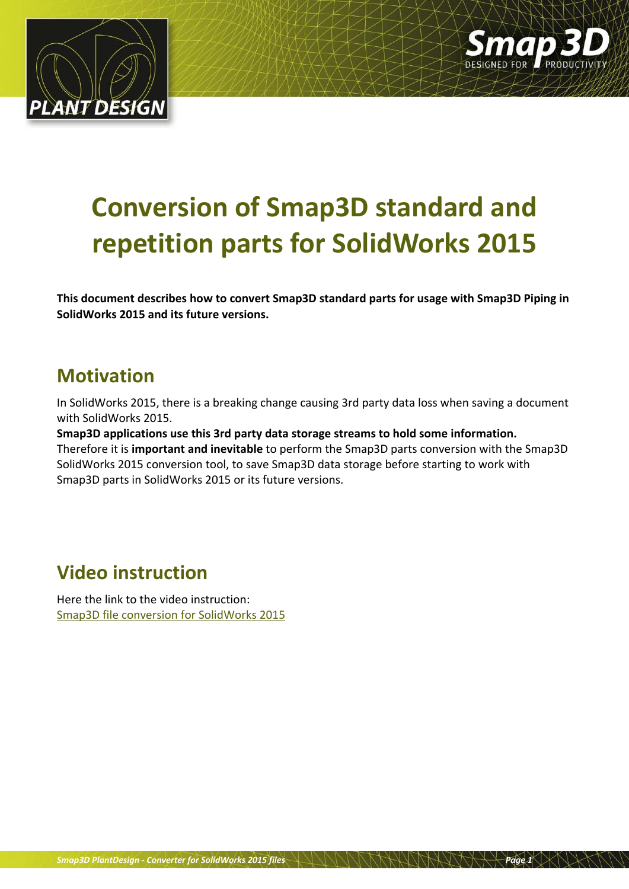



# **Conversion of Smap3D standard and repetition parts for SolidWorks 2015**

**This document describes how to convert Smap3D standard parts for usage with Smap3D Piping in SolidWorks 2015 and its future versions.**

#### **Motivation**

In SolidWorks 2015, there is a breaking change causing 3rd party data loss when saving a document with SolidWorks 2015.

**Smap3D applications use this 3rd party data storage streams to hold some information.** Therefore it is **important and inevitable** to perform the Smap3D parts conversion with the Smap3D SolidWorks 2015 conversion tool, to save Smap3D data storage before starting to work with Smap3D parts in SolidWorks 2015 or its future versions.

## **Video instruction**

Here the link to the video instruction: [Smap3D file conversion for](http://www.cad-helpdesk.de/wp-content/uploads/image/Piping/SWX2015_converter/Smap3D_converter_for_SolidWorks2015_EN.mp4) SolidWorks 2015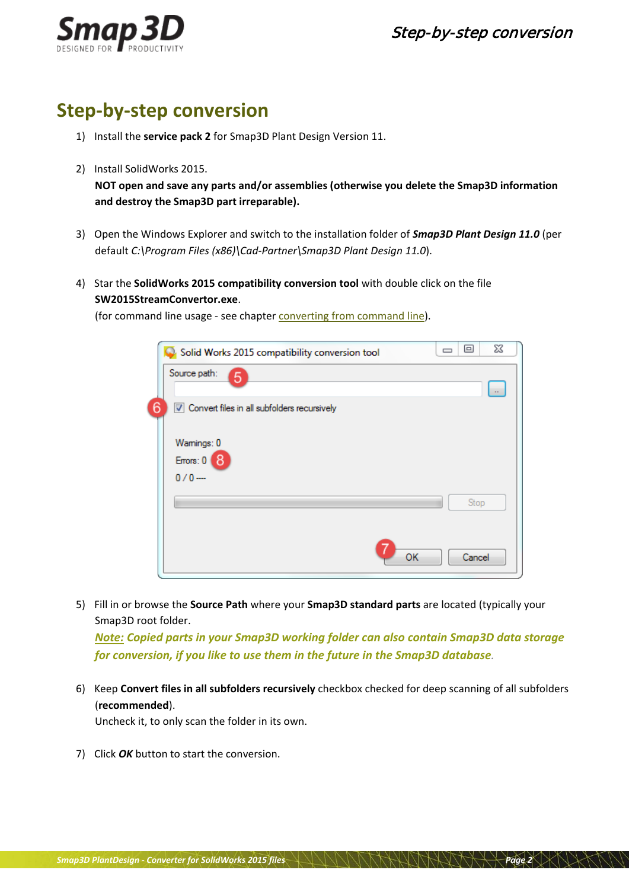



### **Step-by-step conversion**

- 1) Install the **service pack 2** for Smap3D Plant Design Version 11.
- 2) Install SolidWorks 2015.

**NOT open and save any parts and/or assemblies (otherwise you delete the Smap3D information and destroy the Smap3D part irreparable).**

- 3) Open the Windows Explorer and switch to the installation folder of *Smap3D Plant Design 11.0* (per default *C:\Program Files (x86)\Cad-Partner\Smap3D Plant Design 11.0*).
- 4) Star the **SolidWorks 2015 compatibility conversion tool** with double click on the file **SW2015StreamConvertor.exe**.

(for command line usage - see chapter [converting from command line\)](#page-4-0).

|   | Solid Works 2015 compatibility conversion tool | $\Box$ | ▣      | $\Sigma$ |
|---|------------------------------------------------|--------|--------|----------|
|   | Source path:<br>5                              |        |        | $\sim$   |
| 6 | V Convert files in all subfolders recursively  |        |        |          |
|   | Wamings: 0                                     |        |        |          |
|   | Errors: 0<br>8                                 |        |        |          |
|   | $0/0 -$                                        |        |        |          |
|   |                                                |        | Stop   |          |
|   |                                                |        |        |          |
|   | OK                                             |        | Cancel |          |

<span id="page-1-0"></span>5) Fill in or browse the **Source Path** where your **Smap3D standard parts** are located (typically your Smap3D root folder.

*Note: Copied parts in your Smap3D working folder can also contain Smap3D data storage for conversion, if you like to use them in the future in the Smap3D database.*

6) Keep **Convert files in all subfolders recursively** checkbox checked for deep scanning of all subfolders (**recommended**).

Uncheck it, to only scan the folder in its own.

7) Click *OK* button to start the conversion.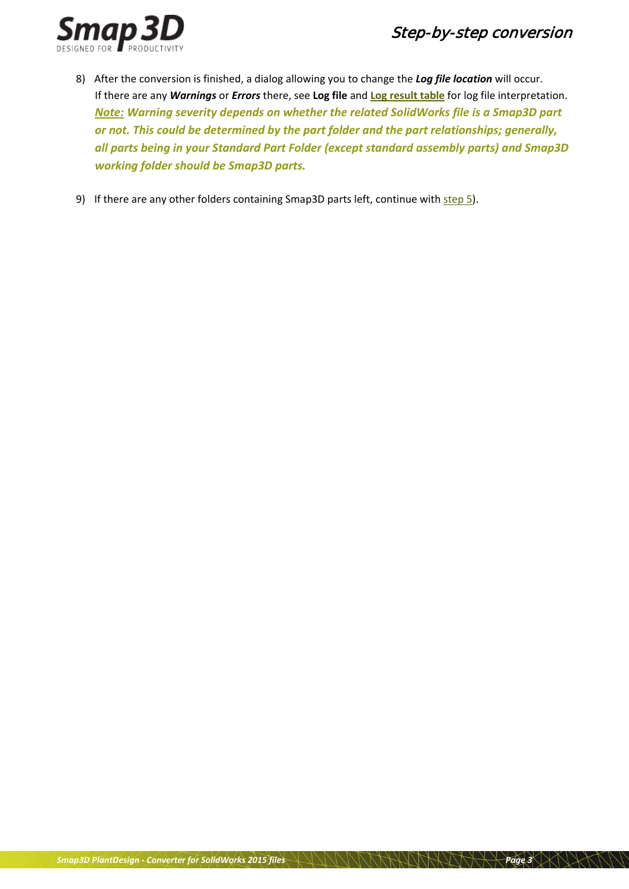#### Step-by-step conversion



- 8) After the conversion is finished, a dialog allowing you to change the *Log file location* will occur. If there are any *Warnings* or *Errors* there, see **Log file** and **[Log result](#page-3-0) table** for log file interpretation. *Note: Warning severity depends on whether the related SolidWorks file is a Smap3D part or not. This could be determined by the part folder and the part relationships; generally, all parts being in your Standard Part Folder (except standard assembly parts) and Smap3D working folder should be Smap3D parts.*
- 9) If there are any other folders containing Smap3D parts left, continue with [step](#page-1-0) 5).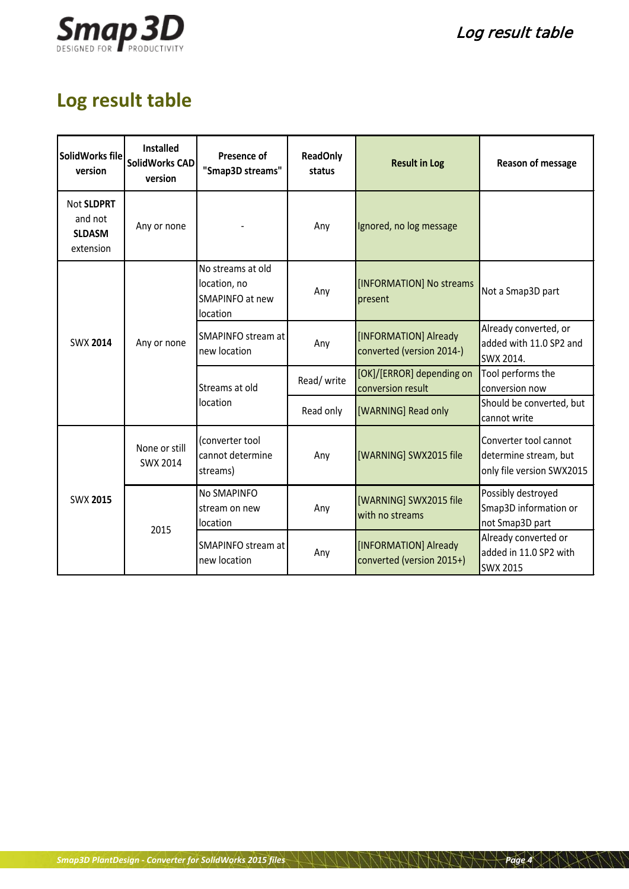

# <span id="page-3-0"></span>**Log result table**

| SolidWorks file<br>version                          | <b>Installed</b><br><b>SolidWorks CAD</b><br>version | Presence of<br>"Smap3D streams"                                  | <b>ReadOnly</b><br>status | <b>Result in Log</b>                               | Reason of message                                                           |
|-----------------------------------------------------|------------------------------------------------------|------------------------------------------------------------------|---------------------------|----------------------------------------------------|-----------------------------------------------------------------------------|
| Not SLDPRT<br>and not<br><b>SLDASM</b><br>extension | Any or none                                          |                                                                  | Any                       | Ignored, no log message                            |                                                                             |
|                                                     | Any or none                                          | No streams at old<br>location, no<br>SMAPINFO at new<br>location | Any                       | [INFORMATION] No streams<br>present                | Not a Smap3D part                                                           |
| <b>SWX 2014</b>                                     |                                                      | SMAPINFO stream at<br>new location                               | Any                       | [INFORMATION] Already<br>converted (version 2014-) | Already converted, or<br>added with 11.0 SP2 and<br>SWX 2014.               |
|                                                     |                                                      | Streams at old<br>location                                       | Read/write                | [OK]/[ERROR] depending on<br>conversion result     | Tool performs the<br>conversion now                                         |
|                                                     |                                                      |                                                                  | Read only                 | [WARNING] Read only                                | Should be converted, but<br>cannot write                                    |
|                                                     | None or still<br><b>SWX 2014</b>                     | (converter tool<br>cannot determine<br>streams)                  | Any                       | [WARNING] SWX2015 file                             | Converter tool cannot<br>determine stream, but<br>only file version SWX2015 |
| <b>SWX 2015</b>                                     | 2015                                                 | No SMAPINFO<br>stream on new<br>location                         | Any                       | [WARNING] SWX2015 file<br>with no streams          | Possibly destroyed<br>Smap3D information or<br>not Smap3D part              |
|                                                     |                                                      | SMAPINFO stream at<br>new location                               | Any                       | [INFORMATION] Already<br>converted (version 2015+) | Already converted or<br>added in 11.0 SP2 with<br>SWX 2015                  |